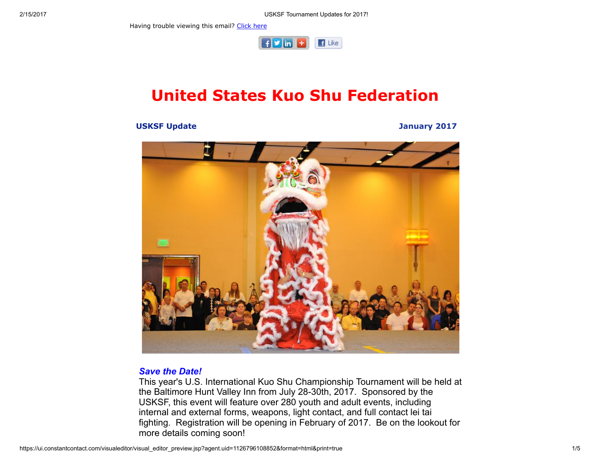Having trouble viewing this email? [Click](http://campaign.r20.constantcontact.com/render?ca=484b177e-8649-46d4-bf25-2b4278601893&preview=true&m=1101951016402&id=preview) here



# United States Kuo Shu Federation

#### USKSF Update January 2017



#### Save the Date!

This year's U.S. International Kuo Shu Championship Tournament will be held at the Baltimore Hunt Valley Inn from July 28-30th, 2017. Sponsored by the USKSF, this event will feature over 280 youth and adult events, including internal and external forms, weapons, light contact, and full contact lei tai fighting. Registration will be opening in February of 2017. Be on the lookout for more details coming soon!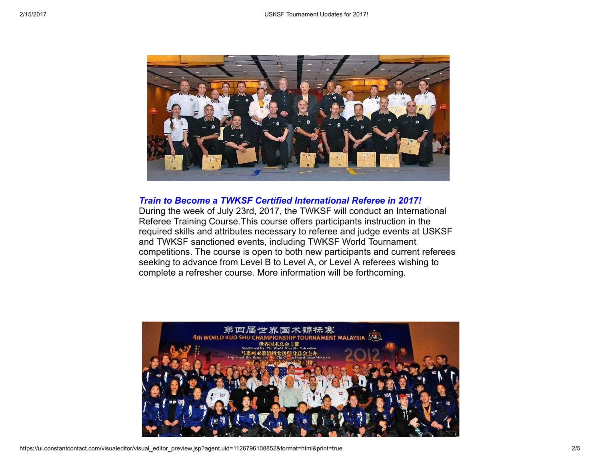

### Train to Become a TWKSF Certified International Referee in 2017!

During the week of July 23rd, 2017, the TWKSF will conduct an International Referee Training Course.This course offers participants instruction in the required skills and attributes necessary to referee and judge events at USKSF and TWKSF sanctioned events, including TWKSF World Tournament competitions. The course is open to both new participants and current referees seeking to advance from Level B to Level A, or Level A referees wishing to complete a refresher course. More information will be forthcoming.

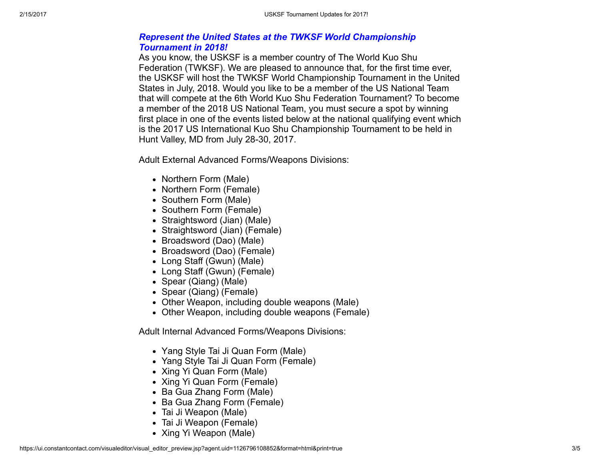# Represent the United States at the TWKSF World Championship Tournament in 2018!

As you know, the USKSF is a member country of The World Kuo Shu Federation (TWKSF). We are pleased to announce that, for the first time ever, the USKSF will host the TWKSF World Championship Tournament in the United States in July, 2018. Would you like to be a member of the US National Team that will compete at the 6th World Kuo Shu Federation Tournament? To become a member of the 2018 US National Team, you must secure a spot by winning first place in one of the events listed below at the national qualifying event which is the 2017 US International Kuo Shu Championship Tournament to be held in Hunt Valley, MD from July 28-30, 2017.

Adult External Advanced Forms/Weapons Divisions:

- Northern Form (Male)
- Northern Form (Female)
- Southern Form (Male)
- Southern Form (Female)
- Straightsword (Jian) (Male)
- Straightsword (Jian) (Female)
- Broadsword (Dao) (Male)
- Broadsword (Dao) (Female)
- Long Staff (Gwun) (Male)
- Long Staff (Gwun) (Female)
- Spear (Qiang) (Male)
- Spear (Qiang) (Female)
- Other Weapon, including double weapons (Male)
- Other Weapon, including double weapons (Female)

Adult Internal Advanced Forms/Weapons Divisions:

- Yang Style Tai Ji Quan Form (Male)
- Yang Style Tai Ji Quan Form (Female)
- Xing Yi Quan Form (Male)
- Xing Yi Quan Form (Female)
- Ba Gua Zhang Form (Male)
- Ba Gua Zhang Form (Female)
- Tai Ji Weapon (Male)
- Tai Ji Weapon (Female)
- Xing Yi Weapon (Male)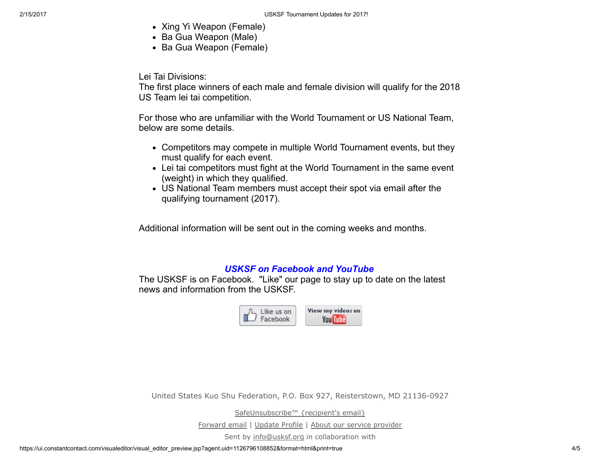- Xing Yi Weapon (Female)
- Ba Gua Weapon (Male)
- Ba Gua Weapon (Female)

Lei Tai Divisions:

The first place winners of each male and female division will qualify for the 2018 US Team lei tai competition.

For those who are unfamiliar with the World Tournament or US National Team, below are some details.

- Competitors may compete in multiple World Tournament events, but they must qualify for each event.
- Lei tai competitors must fight at the World Tournament in the same event (weight) in which they qualified.
- US National Team members must accept their spot via email after the qualifying tournament (2017).

Additional information will be sent out in the coming weeks and months.

## USKSF on Facebook and YouTube

The USKSF is on Facebook. "Like" our page to stay up to date on the latest news and information from the USKSF.



United States Kuo Shu Federation, P.O. Box 927, Reisterstown, MD 21136-0927

[SafeUnsubscribe™](https://visitor.constantcontact.com/do?p=un&mse=001nQUq2GTjwCgIZ6GenC9yuXfcyEasq3mD&t=001R-xnTLoGhLHMMBMf2xpOlg%3D%3D&id=001b-xBWU3VMke7CkPQEtiexQoh2WWd6pY4&llr=sohmwicab) {recipient's email}

[Forward](https://ui.constantcontact.com/sa/fwtf.jsp?llr=sohmwicab&m=1101951016402&ea=info@uskuoshu.com&a=1126796108852&id=preview) email | [Update](https://visitor.constantcontact.com/do?mse=001nQUq2GTjwCgIZ6GenC9yuQfkd0EwMhft2roTtuC7YZ7EKs9OTcS2Ew%3D%3D&t=001R-xnTLoGhLHMMBMf2xpOlg%3D%3D&lang=001FCSs65SMrsI%3D&reason=001IqezpQbqEsU%3D&id=001b-xBWU3VMke7CkPQEtiexQoh2WWd6pY4&llr=sohmwicab&p=oo) Profile | About our service [provider](http://www.constantcontact.com/legal/service-provider?cc=about-service-provider)

Sent by [info@usksf.org](mailto:info@usksf.org) in collaboration with